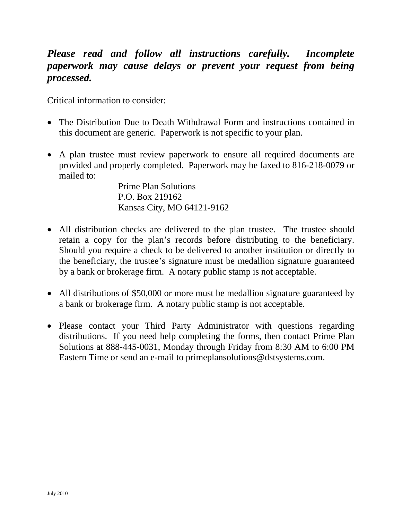# *Please read and follow all instructions carefully. Incomplete paperwork may cause delays or prevent your request from being processed.*

Critical information to consider:

- The Distribution Due to Death Withdrawal Form and instructions contained in this document are generic. Paperwork is not specific to your plan.
- A plan trustee must review paperwork to ensure all required documents are provided and properly completed. Paperwork may be faxed to 816-218-0079 or mailed to:

Prime Plan Solutions P.O. Box 219162 Kansas City, MO 64121-9162

- All distribution checks are delivered to the plan trustee. The trustee should retain a copy for the plan's records before distributing to the beneficiary. Should you require a check to be delivered to another institution or directly to the beneficiary, the trustee's signature must be medallion signature guaranteed by a bank or brokerage firm. A notary public stamp is not acceptable.
- All distributions of \$50,000 or more must be medallion signature guaranteed by a bank or brokerage firm. A notary public stamp is not acceptable.
- Please contact your Third Party Administrator with questions regarding distributions. If you need help completing the forms, then contact Prime Plan Solutions at 888-445-0031, Monday through Friday from 8:30 AM to 6:00 PM Eastern Time or send an e-mail to primeplansolutions@dstsystems.com.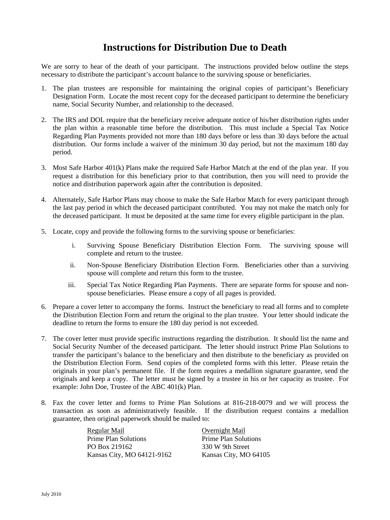# **Instructions for Distribution Due to Death**

We are sorry to hear of the death of your participant. The instructions provided below outline the steps necessary to distribute the participant's account balance to the surviving spouse or beneficiaries.

- 1. The plan trustees are responsible for maintaining the original copies of participant's Beneficiary Designation Form. Locate the most recent copy for the deceased participant to determine the beneficiary name, Social Security Number, and relationship to the deceased.
- 2. The IRS and DOL require that the beneficiary receive adequate notice of his/her distribution rights under the plan within a reasonable time before the distribution. This must include a Special Tax Notice Regarding Plan Payments provided not more than 180 days before or less than 30 days before the actual distribution. Our forms include a waiver of the minimum 30 day period, but not the maximum 180 day period.
- 3. Most Safe Harbor 401(k) Plans make the required Safe Harbor Match at the end of the plan year. If you request a distribution for this beneficiary prior to that contribution, then you will need to provide the notice and distribution paperwork again after the contribution is deposited.
- 4. Alternately, Safe Harbor Plans may choose to make the Safe Harbor Match for every participant through the last pay period in which the deceased participant contributed. You may not make the match only for the deceased participant. It must be deposited at the same time for every eligible participant in the plan.
- 5. Locate, copy and provide the following forms to the surviving spouse or beneficiaries:
	- i. Surviving Spouse Beneficiary Distribution Election Form. The surviving spouse will complete and return to the trustee.
	- ii. Non-Spouse Beneficiary Distribution Election Form. Beneficiaries other than a surviving spouse will complete and return this form to the trustee.
	- iii. Special Tax Notice Regarding Plan Payments. There are separate forms for spouse and nonspouse beneficiaries. Please ensure a copy of all pages is provided.
- 6. Prepare a cover letter to accompany the forms. Instruct the beneficiary to read all forms and to complete the Distribution Election Form and return the original to the plan trustee. Your letter should indicate the deadline to return the forms to ensure the 180 day period is not exceeded.
- 7. The cover letter must provide specific instructions regarding the distribution. It should list the name and Social Security Number of the deceased participant. The letter should instruct Prime Plan Solutions to transfer the participant's balance to the beneficiary and then distribute to the beneficiary as provided on the Distribution Election Form. Send copies of the completed forms with this letter. Please retain the originals in your plan's permanent file. If the form requires a medallion signature guarantee, send the originals and keep a copy. The letter must be signed by a trustee in his or her capacity as trustee. For example: John Doe, Trustee of the ABC 401(k) Plan.
- 8. Fax the cover letter and forms to Prime Plan Solutions at 816-218-0079 and we will process the transaction as soon as administratively feasible. If the distribution request contains a medallion guarantee, then original paperwork should be mailed to:

Regular Mail Overnight Mail Prime Plan Solutions Prime Plan Solutions PO Box 219162 330 W 9th Street Kansas City, MO 64121-9162 Kansas City, MO 64105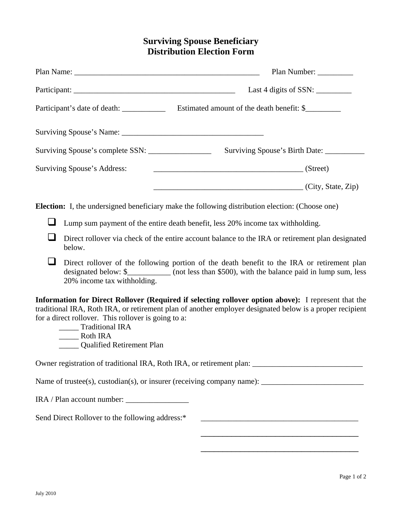# **Surviving Spouse Beneficiary Distribution Election Form**

|                                                                                                                                                                                                                                                                                                                                    | Plan Name: Name and Solution and Solution and Solution and Solution and Solution and Solution and Solution and Solution and Solution and Solution and Solution and Solution and Solution and Solution and Solution and Solutio |                                                                                                                                                                                                | Plan Number: |
|------------------------------------------------------------------------------------------------------------------------------------------------------------------------------------------------------------------------------------------------------------------------------------------------------------------------------------|--------------------------------------------------------------------------------------------------------------------------------------------------------------------------------------------------------------------------------|------------------------------------------------------------------------------------------------------------------------------------------------------------------------------------------------|--------------|
|                                                                                                                                                                                                                                                                                                                                    |                                                                                                                                                                                                                                | Last 4 digits of SSN: $\frac{1}{\sqrt{2\pi}}$                                                                                                                                                  |              |
|                                                                                                                                                                                                                                                                                                                                    |                                                                                                                                                                                                                                |                                                                                                                                                                                                |              |
|                                                                                                                                                                                                                                                                                                                                    |                                                                                                                                                                                                                                |                                                                                                                                                                                                |              |
|                                                                                                                                                                                                                                                                                                                                    |                                                                                                                                                                                                                                |                                                                                                                                                                                                |              |
| Surviving Spouse's Address:                                                                                                                                                                                                                                                                                                        |                                                                                                                                                                                                                                | (Street)                                                                                                                                                                                       |              |
|                                                                                                                                                                                                                                                                                                                                    |                                                                                                                                                                                                                                | $\overline{\phantom{a}}$ (City, State, Zip)                                                                                                                                                    |              |
|                                                                                                                                                                                                                                                                                                                                    |                                                                                                                                                                                                                                | <b>Election:</b> I, the undersigned beneficiary make the following distribution election: (Choose one)                                                                                         |              |
|                                                                                                                                                                                                                                                                                                                                    |                                                                                                                                                                                                                                | Lump sum payment of the entire death benefit, less 20% income tax withholding.                                                                                                                 |              |
|                                                                                                                                                                                                                                                                                                                                    | below.                                                                                                                                                                                                                         | Direct rollover via check of the entire account balance to the IRA or retirement plan designated                                                                                               |              |
|                                                                                                                                                                                                                                                                                                                                    | 20% income tax withholding.                                                                                                                                                                                                    | Direct rollover of the following portion of the death benefit to the IRA or retirement plan<br>designated below: \$____________ (not less than \$500), with the balance paid in lump sum, less |              |
| Information for Direct Rollover (Required if selecting rollover option above): I represent that the<br>traditional IRA, Roth IRA, or retirement plan of another employer designated below is a proper recipient<br>for a direct rollover. This rollover is going to a:<br>_____ Traditional IRA<br><b>Calified Retirement Plan</b> |                                                                                                                                                                                                                                |                                                                                                                                                                                                |              |
|                                                                                                                                                                                                                                                                                                                                    |                                                                                                                                                                                                                                | Owner registration of traditional IRA, Roth IRA, or retirement plan: _______________________________                                                                                           |              |
|                                                                                                                                                                                                                                                                                                                                    |                                                                                                                                                                                                                                |                                                                                                                                                                                                |              |
|                                                                                                                                                                                                                                                                                                                                    |                                                                                                                                                                                                                                |                                                                                                                                                                                                |              |
| Send Direct Rollover to the following address:*<br><u> 2008 - Jan James James James James James James James James James James James James James James James James Ja</u>                                                                                                                                                           |                                                                                                                                                                                                                                |                                                                                                                                                                                                |              |

\_\_\_\_\_\_\_\_\_\_\_\_\_\_\_\_\_\_\_\_\_\_\_\_\_\_\_\_\_\_\_\_\_\_\_\_

\_\_\_\_\_\_\_\_\_\_\_\_\_\_\_\_\_\_\_\_\_\_\_\_\_\_\_\_\_\_\_\_\_\_\_\_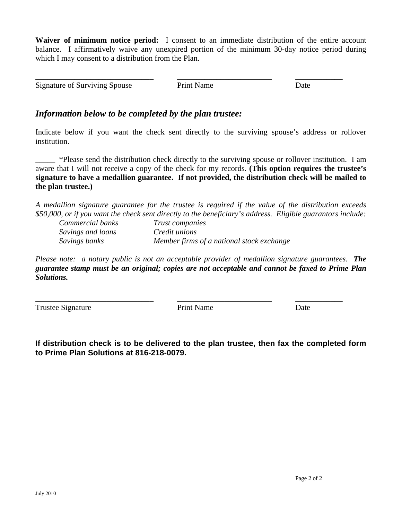**Waiver of minimum notice period:** I consent to an immediate distribution of the entire account balance. I affirmatively waive any unexpired portion of the minimum 30-day notice period during which I may consent to a distribution from the Plan.

Signature of Surviving Spouse Print Name Date

\_\_\_\_\_\_\_\_\_\_\_\_\_\_\_\_\_\_\_\_\_\_\_\_\_\_\_\_\_\_ \_\_\_\_\_\_\_\_\_\_\_\_\_\_\_\_\_\_\_\_\_\_\_\_ \_\_\_\_\_\_\_\_\_\_\_\_

### *Information below to be completed by the plan trustee:*

Indicate below if you want the check sent directly to the surviving spouse's address or rollover institution.

\_\_\_\_\_ \*Please send the distribution check directly to the surviving spouse or rollover institution. I am aware that I will not receive a copy of the check for my records. **(This option requires the trustee's signature to have a medallion guarantee. If not provided, the distribution check will be mailed to the plan trustee.)**

*A medallion signature guarantee for the trustee is required if the value of the distribution exceeds \$50,000, or if you want the check sent directly to the beneficiary's address. Eligible guarantors include:* 

| Commercial banks  | Trust companies                           |
|-------------------|-------------------------------------------|
| Savings and loans | <i>Credit unions</i>                      |
| Savings banks     | Member firms of a national stock exchange |

*Please note: a notary public is not an acceptable provider of medallion signature guarantees. The guarantee stamp must be an original; copies are not acceptable and cannot be faxed to Prime Plan Solutions.* 

Trustee Signature **Print Name** Date

\_\_\_\_\_\_\_\_\_\_\_\_\_\_\_\_\_\_\_\_\_\_\_\_\_\_\_\_\_\_ \_\_\_\_\_\_\_\_\_\_\_\_\_\_\_\_\_\_\_\_\_\_\_\_ \_\_\_\_\_\_\_\_\_\_\_\_

**If distribution check is to be delivered to the plan trustee, then fax the completed form to Prime Plan Solutions at 816-218-0079.**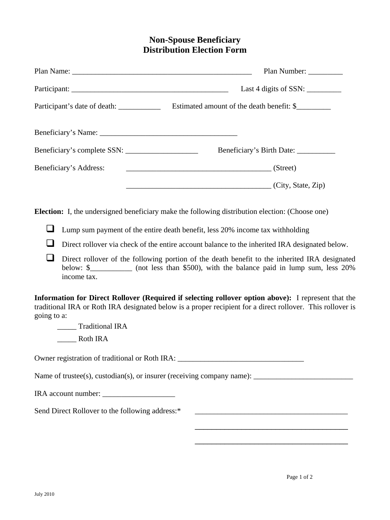## **Non-Spouse Beneficiary Distribution Election Form**

|                                                 | Plan Number: _________                                                                                                                                                                                            |
|-------------------------------------------------|-------------------------------------------------------------------------------------------------------------------------------------------------------------------------------------------------------------------|
|                                                 |                                                                                                                                                                                                                   |
|                                                 |                                                                                                                                                                                                                   |
|                                                 |                                                                                                                                                                                                                   |
|                                                 |                                                                                                                                                                                                                   |
| Beneficiary's Address:                          | S(treet)                                                                                                                                                                                                          |
|                                                 | (City, State, Zip)                                                                                                                                                                                                |
|                                                 | <b>Election:</b> I, the undersigned beneficiary make the following distribution election: (Choose one)                                                                                                            |
| ⊔                                               | Lump sum payment of the entire death benefit, less 20% income tax withholding                                                                                                                                     |
| $\sqcup$                                        | Direct rollover via check of the entire account balance to the inherited IRA designated below.                                                                                                                    |
| $\overline{\phantom{0}}$<br>income tax.         | Direct rollover of the following portion of the death benefit to the inherited IRA designated<br>below: \$____________ (not less than \$500), with the balance paid in lump sum, less 20%                         |
| going to a:<br>Traditional IRA                  | Information for Direct Rollover (Required if selecting rollover option above): I represent that the<br>traditional IRA or Roth IRA designated below is a proper recipient for a direct rollover. This rollover is |
|                                                 | Owner registration of traditional or Roth IRA: __________________________________                                                                                                                                 |
|                                                 |                                                                                                                                                                                                                   |
|                                                 |                                                                                                                                                                                                                   |
| Send Direct Rollover to the following address:* |                                                                                                                                                                                                                   |
|                                                 |                                                                                                                                                                                                                   |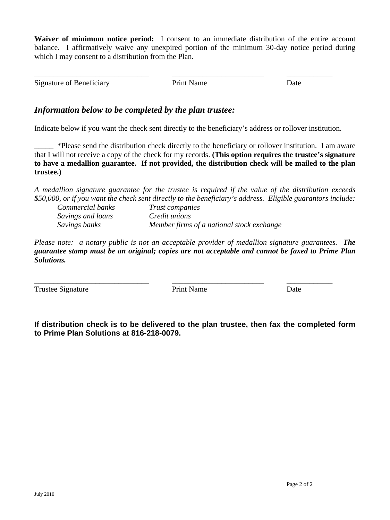**Waiver of minimum notice period:** I consent to an immediate distribution of the entire account balance. I affirmatively waive any unexpired portion of the minimum 30-day notice period during which I may consent to a distribution from the Plan.

Signature of Beneficiary **Prince Access** Print Name Date Date

\_\_\_\_\_\_\_\_\_\_\_\_\_\_\_\_\_\_\_\_\_\_\_\_\_\_\_\_\_\_ \_\_\_\_\_\_\_\_\_\_\_\_\_\_\_\_\_\_\_\_\_\_\_\_ \_\_\_\_\_\_\_\_\_\_\_\_

## *Information below to be completed by the plan trustee:*

Indicate below if you want the check sent directly to the beneficiary's address or rollover institution.

\_\_\_\_\_ \*Please send the distribution check directly to the beneficiary or rollover institution. I am aware that I will not receive a copy of the check for my records. **(This option requires the trustee's signature to have a medallion guarantee. If not provided, the distribution check will be mailed to the plan trustee.)**

*A medallion signature guarantee for the trustee is required if the value of the distribution exceeds \$50,000, or if you want the check sent directly to the beneficiary's address. Eligible guarantors include:* 

| Commercial banks  | <i>Trust companies</i>                    |
|-------------------|-------------------------------------------|
| Savings and loans | <i>Credit unions</i>                      |
| Savings banks     | Member firms of a national stock exchange |

*Please note: a notary public is not an acceptable provider of medallion signature guarantees. The guarantee stamp must be an original; copies are not acceptable and cannot be faxed to Prime Plan Solutions.* 

Trustee Signature **Print Name** Date

\_\_\_\_\_\_\_\_\_\_\_\_\_\_\_\_\_\_\_\_\_\_\_\_\_\_\_\_\_\_ \_\_\_\_\_\_\_\_\_\_\_\_\_\_\_\_\_\_\_\_\_\_\_\_ \_\_\_\_\_\_\_\_\_\_\_\_

**If distribution check is to be delivered to the plan trustee, then fax the completed form to Prime Plan Solutions at 816-218-0079.**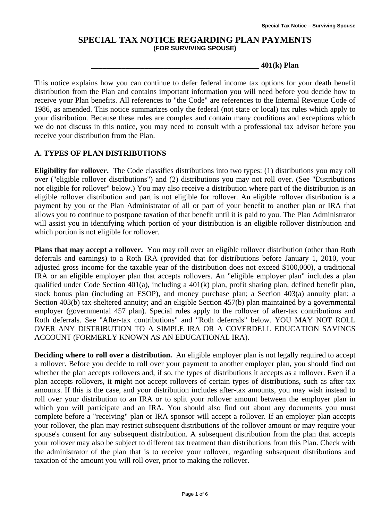#### **SPECIAL TAX NOTICE REGARDING PLAN PAYMENTS (FOR SURVIVING SPOUSE)**

**\_\_\_\_\_\_\_\_\_\_\_\_\_\_\_\_\_\_\_\_\_\_\_\_\_\_\_\_\_\_\_\_\_\_\_\_\_\_\_\_\_\_\_\_ 401(k) Plan** 

This notice explains how you can continue to defer federal income tax options for your death benefit distribution from the Plan and contains important information you will need before you decide how to receive your Plan benefits. All references to "the Code" are references to the Internal Revenue Code of 1986, as amended. This notice summarizes only the federal (not state or local) tax rules which apply to your distribution. Because these rules are complex and contain many conditions and exceptions which we do not discuss in this notice, you may need to consult with a professional tax advisor before you receive your distribution from the Plan.

#### **A. TYPES OF PLAN DISTRIBUTIONS**

**Eligibility for rollover.** The Code classifies distributions into two types: (1) distributions you may roll over ("eligible rollover distributions") and (2) distributions you may not roll over. (See "Distributions not eligible for rollover" below.) You may also receive a distribution where part of the distribution is an eligible rollover distribution and part is not eligible for rollover. An eligible rollover distribution is a payment by you or the Plan Administrator of all or part of your benefit to another plan or IRA that allows you to continue to postpone taxation of that benefit until it is paid to you. The Plan Administrator will assist you in identifying which portion of your distribution is an eligible rollover distribution and which portion is not eligible for rollover.

**Plans that may accept a rollover.** You may roll over an eligible rollover distribution (other than Roth deferrals and earnings) to a Roth IRA (provided that for distributions before January 1, 2010, your adjusted gross income for the taxable year of the distribution does not exceed \$100,000), a traditional IRA or an eligible employer plan that accepts rollovers. An "eligible employer plan" includes a plan qualified under Code Section 401(a), including a 401(k) plan, profit sharing plan, defined benefit plan, stock bonus plan (including an ESOP), and money purchase plan; a Section 403(a) annuity plan; a Section 403(b) tax-sheltered annuity; and an eligible Section 457(b) plan maintained by a governmental employer (governmental 457 plan). Special rules apply to the rollover of after-tax contributions and Roth deferrals. See "After-tax contributions" and "Roth deferrals" below. YOU MAY NOT ROLL OVER ANY DISTRIBUTION TO A SIMPLE IRA OR A COVERDELL EDUCATION SAVINGS ACCOUNT (FORMERLY KNOWN AS AN EDUCATIONAL IRA).

**Deciding where to roll over a distribution.** An eligible employer plan is not legally required to accept a rollover. Before you decide to roll over your payment to another employer plan, you should find out whether the plan accepts rollovers and, if so, the types of distributions it accepts as a rollover. Even if a plan accepts rollovers, it might not accept rollovers of certain types of distributions, such as after-tax amounts. If this is the case, and your distribution includes after-tax amounts, you may wish instead to roll over your distribution to an IRA or to split your rollover amount between the employer plan in which you will participate and an IRA. You should also find out about any documents you must complete before a "receiving" plan or IRA sponsor will accept a rollover. If an employer plan accepts your rollover, the plan may restrict subsequent distributions of the rollover amount or may require your spouse's consent for any subsequent distribution. A subsequent distribution from the plan that accepts your rollover may also be subject to different tax treatment than distributions from this Plan. Check with the administrator of the plan that is to receive your rollover, regarding subsequent distributions and taxation of the amount you will roll over, prior to making the rollover.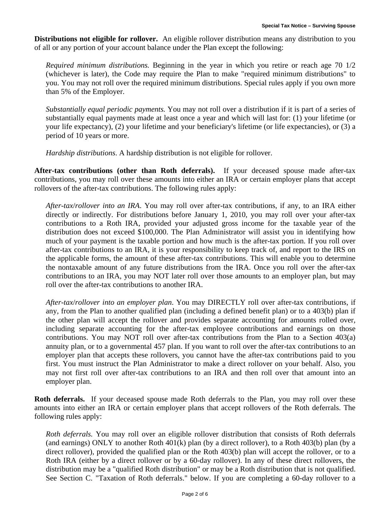**Distributions not eligible for rollover.** An eligible rollover distribution means any distribution to you of all or any portion of your account balance under the Plan except the following:

*Required minimum distributions.* Beginning in the year in which you retire or reach age 70 1/2 (whichever is later), the Code may require the Plan to make "required minimum distributions" to you. You may not roll over the required minimum distributions. Special rules apply if you own more than 5% of the Employer.

*Substantially equal periodic payments.* You may not roll over a distribution if it is part of a series of substantially equal payments made at least once a year and which will last for: (1) your lifetime (or your life expectancy), (2) your lifetime and your beneficiary's lifetime (or life expectancies), or (3) a period of 10 years or more.

*Hardship distributions*. A hardship distribution is not eligible for rollover.

**After-tax contributions (other than Roth deferrals).** If your deceased spouse made after-tax contributions, you may roll over these amounts into either an IRA or certain employer plans that accept rollovers of the after-tax contributions. The following rules apply:

*After-tax*/*rollover into an IRA*. You may roll over after-tax contributions, if any, to an IRA either directly or indirectly. For distributions before January 1, 2010, you may roll over your after-tax contributions to a Roth IRA, provided your adjusted gross income for the taxable year of the distribution does not exceed \$100,000. The Plan Administrator will assist you in identifying how much of your payment is the taxable portion and how much is the after-tax portion. If you roll over after-tax contributions to an IRA, it is your responsibility to keep track of, and report to the IRS on the applicable forms, the amount of these after-tax contributions. This will enable you to determine the nontaxable amount of any future distributions from the IRA. Once you roll over the after-tax contributions to an IRA, you may NOT later roll over those amounts to an employer plan, but may roll over the after-tax contributions to another IRA.

*After-tax*/*rollover into an employer plan*. You may DIRECTLY roll over after-tax contributions, if any, from the Plan to another qualified plan (including a defined benefit plan) or to a 403(b) plan if the other plan will accept the rollover and provides separate accounting for amounts rolled over, including separate accounting for the after-tax employee contributions and earnings on those contributions. You may NOT roll over after-tax contributions from the Plan to a Section 403(a) annuity plan, or to a governmental 457 plan. If you want to roll over the after-tax contributions to an employer plan that accepts these rollovers, you cannot have the after-tax contributions paid to you first. You must instruct the Plan Administrator to make a direct rollover on your behalf. Also, you may not first roll over after-tax contributions to an IRA and then roll over that amount into an employer plan.

**Roth deferrals.** If your deceased spouse made Roth deferrals to the Plan, you may roll over these amounts into either an IRA or certain employer plans that accept rollovers of the Roth deferrals. The following rules apply:

*Roth deferrals.* You may roll over an eligible rollover distribution that consists of Roth deferrals (and earnings) ONLY to another Roth 401(k) plan (by a direct rollover), to a Roth 403(b) plan (by a direct rollover), provided the qualified plan or the Roth 403(b) plan will accept the rollover, or to a Roth IRA (either by a direct rollover or by a 60-day rollover). In any of these direct rollovers, the distribution may be a "qualified Roth distribution" or may be a Roth distribution that is not qualified. See Section C. "Taxation of Roth deferrals." below. If you are completing a 60-day rollover to a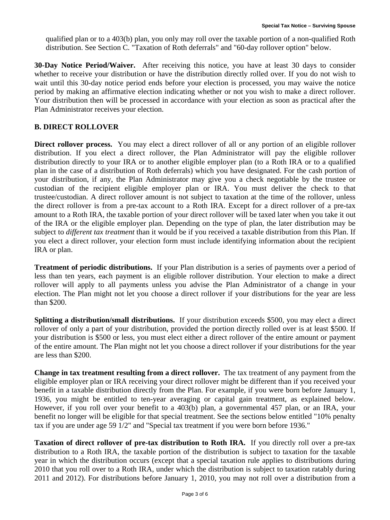qualified plan or to a 403(b) plan, you only may roll over the taxable portion of a non-qualified Roth distribution. See Section C. "Taxation of Roth deferrals" and "60-day rollover option" below.

**30-Day Notice Period/Waiver.** After receiving this notice, you have at least 30 days to consider whether to receive your distribution or have the distribution directly rolled over. If you do not wish to wait until this 30-day notice period ends before your election is processed, you may waive the notice period by making an affirmative election indicating whether or not you wish to make a direct rollover. Your distribution then will be processed in accordance with your election as soon as practical after the Plan Administrator receives your election.

### **B. DIRECT ROLLOVER**

**Direct rollover process.** You may elect a direct rollover of all or any portion of an eligible rollover distribution. If you elect a direct rollover, the Plan Administrator will pay the eligible rollover distribution directly to your IRA or to another eligible employer plan (to a Roth IRA or to a qualified plan in the case of a distribution of Roth deferrals) which you have designated. For the cash portion of your distribution, if any, the Plan Administrator may give you a check negotiable by the trustee or custodian of the recipient eligible employer plan or IRA. You must deliver the check to that trustee/custodian. A direct rollover amount is not subject to taxation at the time of the rollover, unless the direct rollover is from a pre-tax account to a Roth IRA. Except for a direct rollover of a pre-tax amount to a Roth IRA, the taxable portion of your direct rollover will be taxed later when you take it out of the IRA or the eligible employer plan. Depending on the type of plan, the later distribution may be subject to *different tax treatment* than it would be if you received a taxable distribution from this Plan. If you elect a direct rollover, your election form must include identifying information about the recipient IRA or plan.

**Treatment of periodic distributions.** If your Plan distribution is a series of payments over a period of less than ten years, each payment is an eligible rollover distribution. Your election to make a direct rollover will apply to all payments unless you advise the Plan Administrator of a change in your election. The Plan might not let you choose a direct rollover if your distributions for the year are less than \$200.

**Splitting a distribution/small distributions.** If your distribution exceeds \$500, you may elect a direct rollover of only a part of your distribution, provided the portion directly rolled over is at least \$500. If your distribution is \$500 or less, you must elect either a direct rollover of the entire amount or payment of the entire amount. The Plan might not let you choose a direct rollover if your distributions for the year are less than \$200.

**Change in tax treatment resulting from a direct rollover.** The tax treatment of any payment from the eligible employer plan or IRA receiving your direct rollover might be different than if you received your benefit in a taxable distribution directly from the Plan. For example, if you were born before January 1, 1936, you might be entitled to ten-year averaging or capital gain treatment, as explained below. However, if you roll over your benefit to a 403(b) plan, a governmental 457 plan, or an IRA, your benefit no longer will be eligible for that special treatment. See the sections below entitled "10% penalty tax if you are under age 59 1/2" and "Special tax treatment if you were born before 1936."

**Taxation of direct rollover of pre-tax distribution to Roth IRA.** If you directly roll over a pre-tax distribution to a Roth IRA, the taxable portion of the distribution is subject to taxation for the taxable year in which the distribution occurs (except that a special taxation rule applies to distributions during 2010 that you roll over to a Roth IRA, under which the distribution is subject to taxation ratably during 2011 and 2012). For distributions before January 1, 2010, you may not roll over a distribution from a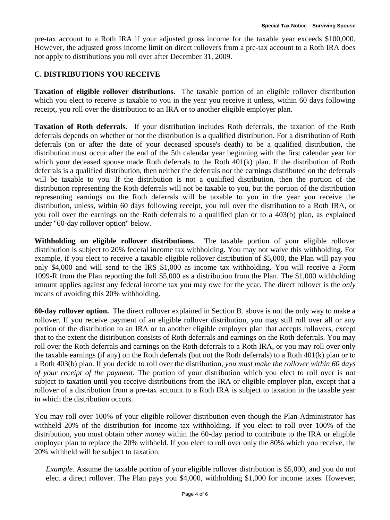pre-tax account to a Roth IRA if your adjusted gross income for the taxable year exceeds \$100,000. However, the adjusted gross income limit on direct rollovers from a pre-tax account to a Roth IRA does not apply to distributions you roll over after December 31, 2009.

#### **C. DISTRIBUTIONS YOU RECEIVE**

**Taxation of eligible rollover distributions.** The taxable portion of an eligible rollover distribution which you elect to receive is taxable to you in the year you receive it unless, within 60 days following receipt, you roll over the distribution to an IRA or to another eligible employer plan.

**Taxation of Roth deferrals.** If your distribution includes Roth deferrals, the taxation of the Roth deferrals depends on whether or not the distribution is a qualified distribution. For a distribution of Roth deferrals (on or after the date of your deceased spouse's death) to be a qualified distribution, the distribution must occur after the end of the 5th calendar year beginning with the first calendar year for which your deceased spouse made Roth deferrals to the Roth 401(k) plan. If the distribution of Roth deferrals is a qualified distribution, then neither the deferrals nor the earnings distributed on the deferrals will be taxable to you. If the distribution is not a qualified distribution, then the portion of the distribution representing the Roth deferrals will not be taxable to you, but the portion of the distribution representing earnings on the Roth deferrals will be taxable to you in the year you receive the distribution, unless, within 60 days following receipt, you roll over the distribution to a Roth IRA, or you roll over the earnings on the Roth deferrals to a qualified plan or to a 403(b) plan, as explained under "60-day rollover option" below.

**Withholding on eligible rollover distributions.** The taxable portion of your eligible rollover distribution is subject to 20% federal income tax withholding. You may not waive this withholding. For example, if you elect to receive a taxable eligible rollover distribution of \$5,000, the Plan will pay you only \$4,000 and will send to the IRS \$1,000 as income tax withholding. You will receive a Form 1099-R from the Plan reporting the full \$5,000 as a distribution from the Plan. The \$1,000 withholding amount applies against any federal income tax you may owe for the year. The direct rollover is the *only* means of avoiding this 20% withholding.

**60-day rollover option.** The direct rollover explained in Section B. above is not the only way to make a rollover. If you receive payment of an eligible rollover distribution, you may still roll over all or any portion of the distribution to an IRA or to another eligible employer plan that accepts rollovers, except that to the extent the distribution consists of Roth deferrals and earnings on the Roth deferrals. You may roll over the Roth deferrals and earnings on the Roth deferrals to a Roth IRA, or you may roll over only the taxable earnings (if any) on the Roth deferrals (but not the Roth deferrals) to a Roth 401(k) plan or to a Roth 403(b) plan. If you decide to roll over the distribution, *you must make the rollover within 60 days of your receipt of the payment.* The portion of your distribution which you elect to roll over is not subject to taxation until you receive distributions from the IRA or eligible employer plan, except that a rollover of a distribution from a pre-tax account to a Roth IRA is subject to taxation in the taxable year in which the distribution occurs.

You may roll over 100% of your eligible rollover distribution even though the Plan Administrator has withheld 20% of the distribution for income tax withholding. If you elect to roll over 100% of the distribution, you must obtain *other money* within the 60-day period to contribute to the IRA or eligible employer plan to replace the 20% withheld. If you elect to roll over only the 80% which you receive, the 20% withheld will be subject to taxation.

*Example.* Assume the taxable portion of your eligible rollover distribution is \$5,000, and you do not elect a direct rollover. The Plan pays you \$4,000, withholding \$1,000 for income taxes. However,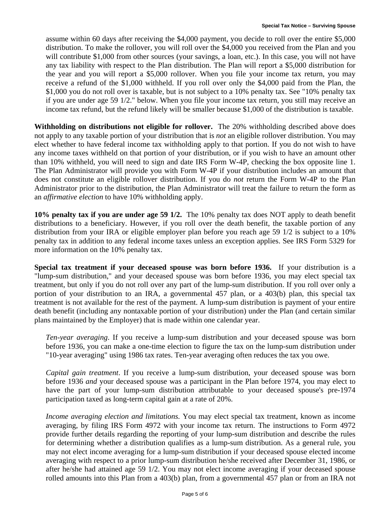assume within 60 days after receiving the \$4,000 payment, you decide to roll over the entire \$5,000 distribution. To make the rollover, you will roll over the \$4,000 you received from the Plan and you will contribute \$1,000 from other sources (your savings, a loan, etc.). In this case, you will not have any tax liability with respect to the Plan distribution. The Plan will report a \$5,000 distribution for the year and you will report a \$5,000 rollover. When you file your income tax return, you may receive a refund of the \$1,000 withheld. If you roll over only the \$4,000 paid from the Plan, the \$1,000 you do not roll over is taxable, but is not subject to a 10% penalty tax. See "10% penalty tax if you are under age 59 1/2." below. When you file your income tax return, you still may receive an income tax refund, but the refund likely will be smaller because \$1,000 of the distribution is taxable.

**Withholding on distributions not eligible for rollover.** The 20% withholding described above does not apply to any taxable portion of your distribution that is *not* an eligible rollover distribution. You may elect whether to have federal income tax withholding apply to that portion. If you do not wish to have any income taxes withheld on that portion of your distribution, or if you wish to have an amount other than 10% withheld, you will need to sign and date IRS Form W-4P, checking the box opposite line 1. The Plan Administrator will provide you with Form W-4P if your distribution includes an amount that does not constitute an eligible rollover distribution. If you do *not* return the Form W-4P to the Plan Administrator prior to the distribution, the Plan Administrator will treat the failure to return the form as an *affirmative election* to have 10% withholding apply.

**10% penalty tax if you are under age 59 1/2.** The 10% penalty tax does NOT apply to death benefit distributions to a beneficiary. However, if you roll over the death benefit, the taxable portion of any distribution from your IRA or eligible employer plan before you reach age 59  $1/2$  is subject to a 10% penalty tax in addition to any federal income taxes unless an exception applies. See IRS Form 5329 for more information on the 10% penalty tax.

**Special tax treatment if your deceased spouse was born before 1936.** If your distribution is a "lump-sum distribution," and your deceased spouse was born before 1936, you may elect special tax treatment, but only if you do not roll over any part of the lump-sum distribution. If you roll over only a portion of your distribution to an IRA, a governmental 457 plan, or a 403(b) plan, this special tax treatment is not available for the rest of the payment. A lump-sum distribution is payment of your entire death benefit (including any nontaxable portion of your distribution) under the Plan (and certain similar plans maintained by the Employer) that is made within one calendar year.

*Ten-year averaging*. If you receive a lump-sum distribution and your deceased spouse was born before 1936, you can make a one-time election to figure the tax on the lump-sum distribution under "10-year averaging" using 1986 tax rates. Ten-year averaging often reduces the tax you owe.

*Capital gain treatment*. If you receive a lump-sum distribution, your deceased spouse was born before 1936 *and* your deceased spouse was a participant in the Plan before 1974, you may elect to have the part of your lump-sum distribution attributable to your deceased spouse's pre-1974 participation taxed as long-term capital gain at a rate of 20%.

*Income averaging election and limitations.* You may elect special tax treatment, known as income averaging, by filing IRS Form 4972 with your income tax return. The instructions to Form 4972 provide further details regarding the reporting of your lump-sum distribution and describe the rules for determining whether a distribution qualifies as a lump-sum distribution. As a general rule, you may not elect income averaging for a lump-sum distribution if your deceased spouse elected income averaging with respect to a prior lump-sum distribution he/she received after December 31, 1986, or after he/she had attained age 59 1/2. You may not elect income averaging if your deceased spouse rolled amounts into this Plan from a 403(b) plan, from a governmental 457 plan or from an IRA not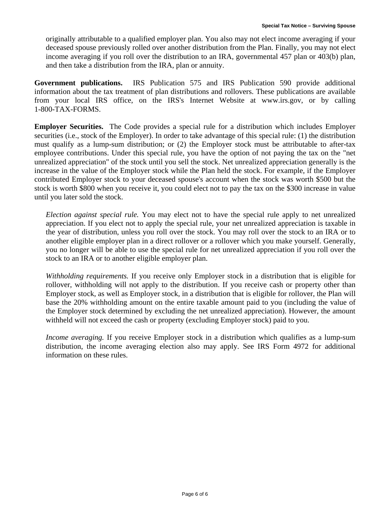originally attributable to a qualified employer plan. You also may not elect income averaging if your deceased spouse previously rolled over another distribution from the Plan. Finally, you may not elect income averaging if you roll over the distribution to an IRA, governmental 457 plan or 403(b) plan, and then take a distribution from the IRA, plan or annuity.

**Government publications.** IRS Publication 575 and IRS Publication 590 provide additional information about the tax treatment of plan distributions and rollovers. These publications are available from your local IRS office, on the IRS's Internet Website at www.irs.gov, or by calling 1-800-TAX-FORMS.

**Employer Securities.** The Code provides a special rule for a distribution which includes Employer securities (i.e., stock of the Employer). In order to take advantage of this special rule: (1) the distribution must qualify as a lump-sum distribution; or (2) the Employer stock must be attributable to after-tax employee contributions. Under this special rule, you have the option of not paying the tax on the "net unrealized appreciation" of the stock until you sell the stock. Net unrealized appreciation generally is the increase in the value of the Employer stock while the Plan held the stock. For example, if the Employer contributed Employer stock to your deceased spouse's account when the stock was worth \$500 but the stock is worth \$800 when you receive it, you could elect not to pay the tax on the \$300 increase in value until you later sold the stock.

*Election against special rule.* You may elect not to have the special rule apply to net unrealized appreciation. If you elect not to apply the special rule, your net unrealized appreciation is taxable in the year of distribution, unless you roll over the stock. You may roll over the stock to an IRA or to another eligible employer plan in a direct rollover or a rollover which you make yourself. Generally, you no longer will be able to use the special rule for net unrealized appreciation if you roll over the stock to an IRA or to another eligible employer plan.

*Withholding requirements.* If you receive only Employer stock in a distribution that is eligible for rollover, withholding will not apply to the distribution. If you receive cash or property other than Employer stock, as well as Employer stock, in a distribution that is eligible for rollover, the Plan will base the 20% withholding amount on the entire taxable amount paid to you (including the value of the Employer stock determined by excluding the net unrealized appreciation). However, the amount withheld will not exceed the cash or property (excluding Employer stock) paid to you.

*Income averaging.* If you receive Employer stock in a distribution which qualifies as a lump-sum distribution, the income averaging election also may apply. See IRS Form 4972 for additional information on these rules.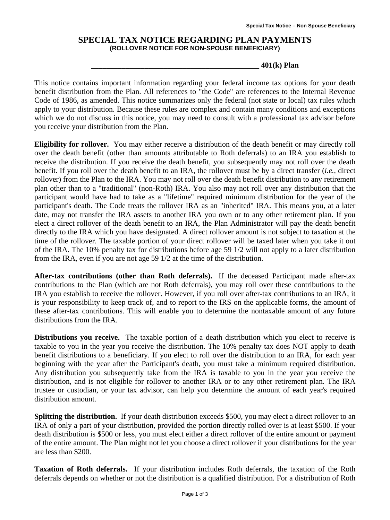#### **SPECIAL TAX NOTICE REGARDING PLAN PAYMENTS (ROLLOVER NOTICE FOR NON-SPOUSE BENEFICIARY)**

**\_\_\_\_\_\_\_\_\_\_\_\_\_\_\_\_\_\_\_\_\_\_\_\_\_\_\_\_\_\_\_\_\_\_\_\_\_\_\_\_\_\_\_\_ 401(k) Plan** 

This notice contains important information regarding your federal income tax options for your death benefit distribution from the Plan. All references to "the Code" are references to the Internal Revenue Code of 1986, as amended. This notice summarizes only the federal (not state or local) tax rules which apply to your distribution. Because these rules are complex and contain many conditions and exceptions which we do not discuss in this notice, you may need to consult with a professional tax advisor before you receive your distribution from the Plan.

**Eligibility for rollover.** You may either receive a distribution of the death benefit or may directly roll over the death benefit (other than amounts attributable to Roth deferrals) to an IRA you establish to receive the distribution. If you receive the death benefit, you subsequently may not roll over the death benefit. If you roll over the death benefit to an IRA, the rollover must be by a direct transfer (*i.e.,* direct rollover) from the Plan to the IRA. You may not roll over the death benefit distribution to any retirement plan other than to a "traditional" (non**-**Roth) IRA. You also may not roll over any distribution that the participant would have had to take as a "lifetime" required minimum distribution for the year of the participant's death. The Code treats the rollover IRA as an "inherited" IRA. This means you, at a later date, may not transfer the IRA assets to another IRA you own or to any other retirement plan. If you elect a direct rollover of the death benefit to an IRA, the Plan Administrator will pay the death benefit directly to the IRA which you have designated. A direct rollover amount is not subject to taxation at the time of the rollover. The taxable portion of your direct rollover will be taxed later when you take it out of the IRA. The 10% penalty tax for distributions before age 59 1/2 will not apply to a later distribution from the IRA, even if you are not age 59 1/2 at the time of the distribution.

**After-tax contributions (other than Roth deferrals).** If the deceased Participant made after**-**tax contributions to the Plan (which are not Roth deferrals), you may roll over these contributions to the IRA you establish to receive the rollover. However, if you roll over after**-**tax contributions to an IRA, it is your responsibility to keep track of, and to report to the IRS on the applicable forms, the amount of these after**-**tax contributions. This will enable you to determine the nontaxable amount of any future distributions from the IRA.

**Distributions you receive.** The taxable portion of a death distribution which you elect to receive is taxable to you in the year you receive the distribution. The 10% penalty tax does NOT apply to death benefit distributions to a beneficiary. If you elect to roll over the distribution to an IRA, for each year beginning with the year after the Participant's death, you must take a minimum required distribution. Any distribution you subsequently take from the IRA is taxable to you in the year you receive the distribution, and is not eligible for rollover to another IRA or to any other retirement plan. The IRA trustee or custodian, or your tax advisor, can help you determine the amount of each year's required distribution amount.

**Splitting the distribution.** If your death distribution exceeds \$500, you may elect a direct rollover to an IRA of only a part of your distribution, provided the portion directly rolled over is at least \$500. If your death distribution is \$500 or less, you must elect either a direct rollover of the entire amount or payment of the entire amount. The Plan might not let you choose a direct rollover if your distributions for the year are less than \$200.

**Taxation of Roth deferrals.** If your distribution includes Roth deferrals, the taxation of the Roth deferrals depends on whether or not the distribution is a qualified distribution. For a distribution of Roth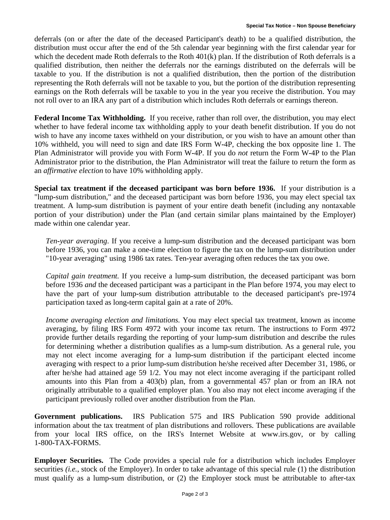deferrals (on or after the date of the deceased Participant's death) to be a qualified distribution, the distribution must occur after the end of the 5th calendar year beginning with the first calendar year for which the decedent made Roth deferrals to the Roth 401(k) plan. If the distribution of Roth deferrals is a qualified distribution, then neither the deferrals nor the earnings distributed on the deferrals will be taxable to you. If the distribution is not a qualified distribution, then the portion of the distribution representing the Roth deferrals will not be taxable to you, but the portion of the distribution representing earnings on the Roth deferrals will be taxable to you in the year you receive the distribution. You may not roll over to an IRA any part of a distribution which includes Roth deferrals or earnings thereon.

**Federal Income Tax Withholding.** If you receive, rather than roll over, the distribution, you may elect whether to have federal income tax withholding apply to your death benefit distribution. If you do not wish to have any income taxes withheld on your distribution, or you wish to have an amount other than 10% withheld, you will need to sign and date IRS Form W**-**4P, checking the box opposite line 1. The Plan Administrator will provide you with Form W**-**4P. If you do *not* return the Form W**-**4P to the Plan Administrator prior to the distribution, the Plan Administrator will treat the failure to return the form as an *affirmative election* to have 10% withholding apply.

**Special tax treatment if the deceased participant was born before 1936.** If your distribution is a "lump**-**sum distribution," and the deceased participant was born before 1936, you may elect special tax treatment. A lump**-**sum distribution is payment of your entire death benefit (including any nontaxable portion of your distribution) under the Plan (and certain similar plans maintained by the Employer) made within one calendar year.

*Ten***-***year averaging*. If you receive a lump**-**sum distribution and the deceased participant was born before 1936, you can make a one**-**time election to figure the tax on the lump**-**sum distribution under "10**-**year averaging" using 1986 tax rates. Ten**-**year averaging often reduces the tax you owe.

*Capital gain treatment.* If you receive a lump**-**sum distribution, the deceased participant was born before 1936 *and* the deceased participant was a participant in the Plan before 1974, you may elect to have the part of your lump**-**sum distribution attributable to the deceased participant's pre**-**1974 participation taxed as long**-**term capital gain at a rate of 20%.

*Income averaging election and limitations.* You may elect special tax treatment, known as income averaging, by filing IRS Form 4972 with your income tax return. The instructions to Form 4972 provide further details regarding the reporting of your lump**-**sum distribution and describe the rules for determining whether a distribution qualifies as a lump**-**sum distribution. As a general rule, you may not elect income averaging for a lump**-**sum distribution if the participant elected income averaging with respect to a prior lump**-**sum distribution he/she received after December 31, 1986, or after he/she had attained age 59 1/2. You may not elect income averaging if the participant rolled amounts into this Plan from a 403(b) plan, from a governmental 457 plan or from an IRA not originally attributable to a qualified employer plan. You also may not elect income averaging if the participant previously rolled over another distribution from the Plan.

**Government publications.** IRS Publication 575 and IRS Publication 590 provide additional information about the tax treatment of plan distributions and rollovers. These publications are available from your local IRS office, on the IRS's Internet Website at www.irs.gov, or by calling 1**-**800**-**TAX**-**FORMS.

**Employer Securities.** The Code provides a special rule for a distribution which includes Employer securities *(i.e.*, stock of the Employer). In order to take advantage of this special rule (1) the distribution must qualify as a lump**-**sum distribution, or (2) the Employer stock must be attributable to after**-**tax